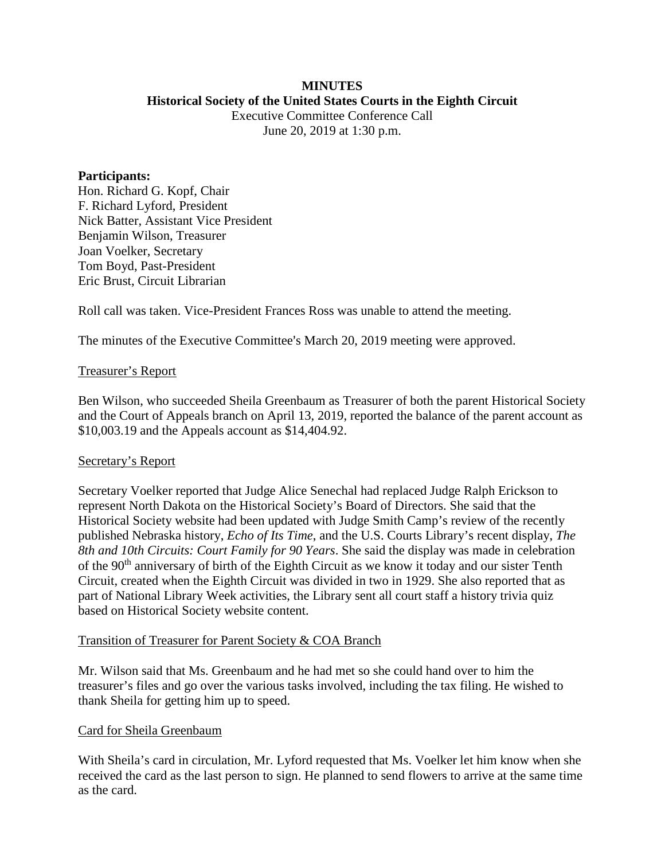### **MINUTES Historical Society of the United States Courts in the Eighth Circuit**

Executive Committee Conference Call June 20, 2019 at 1:30 p.m.

### **Participants:**

Hon. Richard G. Kopf, Chair F. Richard Lyford, President Nick Batter, Assistant Vice President Benjamin Wilson, Treasurer Joan Voelker, Secretary Tom Boyd, Past-President Eric Brust, Circuit Librarian

Roll call was taken. Vice-President Frances Ross was unable to attend the meeting.

The minutes of the Executive Committee's March 20, 2019 meeting were approved.

### Treasurer's Report

Ben Wilson, who succeeded Sheila Greenbaum as Treasurer of both the parent Historical Society and the Court of Appeals branch on April 13, 2019, reported the balance of the parent account as \$10,003.19 and the Appeals account as \$14,404.92.

## Secretary's Report

Secretary Voelker reported that Judge Alice Senechal had replaced Judge Ralph Erickson to represent North Dakota on the Historical Society's Board of Directors. She said that the Historical Society website had been updated with Judge Smith Camp's review of the recently published Nebraska history, *Echo of Its Time*, and the U.S. Courts Library's recent display, *The 8th and 10th Circuits: Court Family for 90 Years*. She said the display was made in celebration of the 90<sup>th</sup> anniversary of birth of the Eighth Circuit as we know it today and our sister Tenth Circuit, created when the Eighth Circuit was divided in two in 1929. She also reported that as part of National Library Week activities, the Library sent all court staff a history trivia quiz based on Historical Society website content.

#### Transition of Treasurer for Parent Society & COA Branch

Mr. Wilson said that Ms. Greenbaum and he had met so she could hand over to him the treasurer's files and go over the various tasks involved, including the tax filing. He wished to thank Sheila for getting him up to speed.

## Card for Sheila Greenbaum

With Sheila's card in circulation, Mr. Lyford requested that Ms. Voelker let him know when she received the card as the last person to sign. He planned to send flowers to arrive at the same time as the card.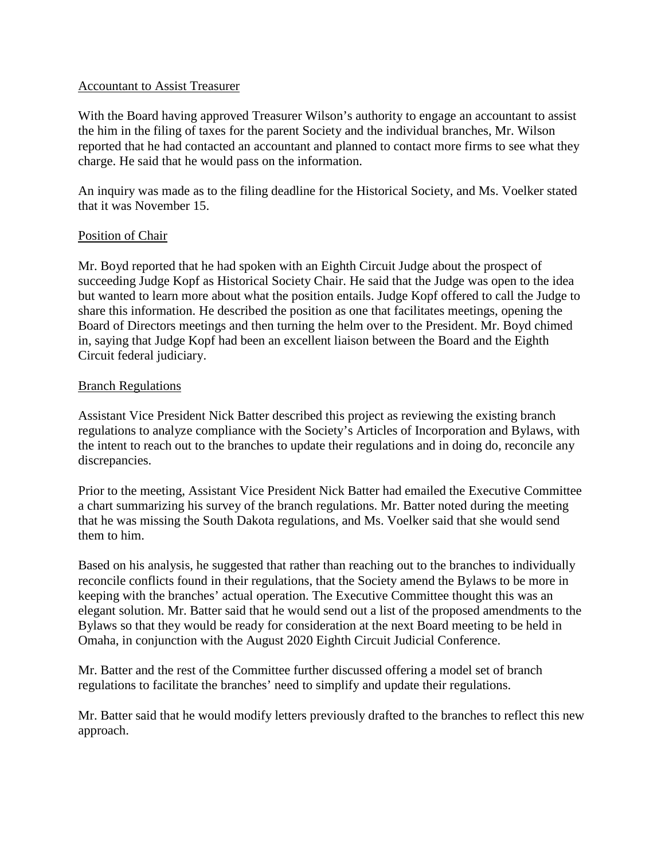## Accountant to Assist Treasurer

With the Board having approved Treasurer Wilson's authority to engage an accountant to assist the him in the filing of taxes for the parent Society and the individual branches, Mr. Wilson reported that he had contacted an accountant and planned to contact more firms to see what they charge. He said that he would pass on the information.

An inquiry was made as to the filing deadline for the Historical Society, and Ms. Voelker stated that it was November 15.

## Position of Chair

Mr. Boyd reported that he had spoken with an Eighth Circuit Judge about the prospect of succeeding Judge Kopf as Historical Society Chair. He said that the Judge was open to the idea but wanted to learn more about what the position entails. Judge Kopf offered to call the Judge to share this information. He described the position as one that facilitates meetings, opening the Board of Directors meetings and then turning the helm over to the President. Mr. Boyd chimed in, saying that Judge Kopf had been an excellent liaison between the Board and the Eighth Circuit federal judiciary.

### **Branch Regulations**

Assistant Vice President Nick Batter described this project as reviewing the existing branch regulations to analyze compliance with the Society's Articles of Incorporation and Bylaws, with the intent to reach out to the branches to update their regulations and in doing do, reconcile any discrepancies.

Prior to the meeting, Assistant Vice President Nick Batter had emailed the Executive Committee a chart summarizing his survey of the branch regulations. Mr. Batter noted during the meeting that he was missing the South Dakota regulations, and Ms. Voelker said that she would send them to him.

Based on his analysis, he suggested that rather than reaching out to the branches to individually reconcile conflicts found in their regulations, that the Society amend the Bylaws to be more in keeping with the branches' actual operation. The Executive Committee thought this was an elegant solution. Mr. Batter said that he would send out a list of the proposed amendments to the Bylaws so that they would be ready for consideration at the next Board meeting to be held in Omaha, in conjunction with the August 2020 Eighth Circuit Judicial Conference.

Mr. Batter and the rest of the Committee further discussed offering a model set of branch regulations to facilitate the branches' need to simplify and update their regulations.

Mr. Batter said that he would modify letters previously drafted to the branches to reflect this new approach.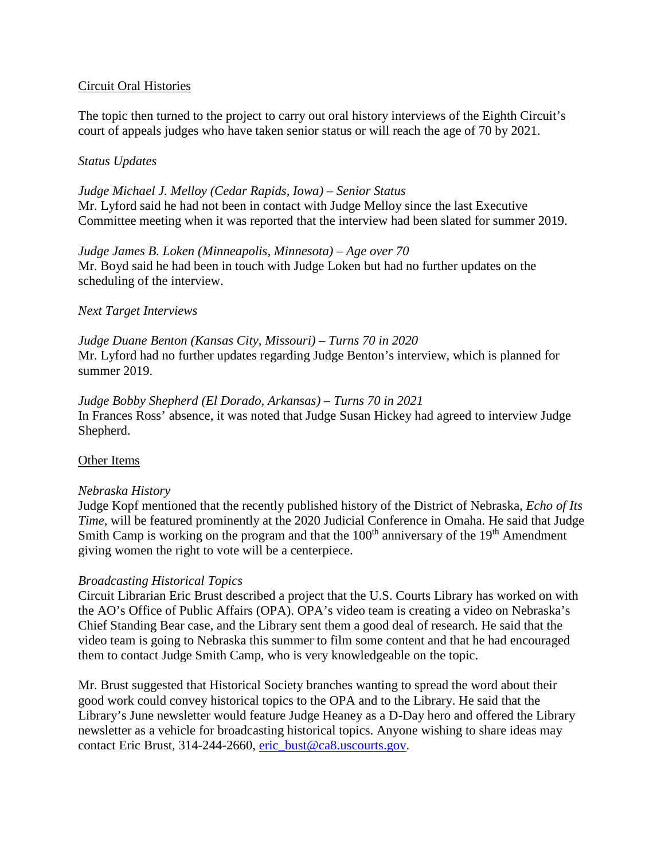# Circuit Oral Histories

The topic then turned to the project to carry out oral history interviews of the Eighth Circuit's court of appeals judges who have taken senior status or will reach the age of 70 by 2021.

## *Status Updates*

*Judge Michael J. Melloy (Cedar Rapids, Iowa) – Senior Status* Mr. Lyford said he had not been in contact with Judge Melloy since the last Executive Committee meeting when it was reported that the interview had been slated for summer 2019.

*Judge James B. Loken (Minneapolis, Minnesota) – Age over 70* Mr. Boyd said he had been in touch with Judge Loken but had no further updates on the scheduling of the interview.

# *Next Target Interviews*

*Judge Duane Benton (Kansas City, Missouri) – Turns 70 in 2020* Mr. Lyford had no further updates regarding Judge Benton's interview, which is planned for summer 2019.

*Judge Bobby Shepherd (El Dorado, Arkansas) – Turns 70 in 2021* In Frances Ross' absence, it was noted that Judge Susan Hickey had agreed to interview Judge Shepherd.

## Other Items

## *Nebraska History*

Judge Kopf mentioned that the recently published history of the District of Nebraska, *Echo of Its Time,* will be featured prominently at the 2020 Judicial Conference in Omaha. He said that Judge Smith Camp is working on the program and that the  $100<sup>th</sup>$  anniversary of the  $19<sup>th</sup>$  Amendment giving women the right to vote will be a centerpiece.

## *Broadcasting Historical Topics*

Circuit Librarian Eric Brust described a project that the U.S. Courts Library has worked on with the AO's Office of Public Affairs (OPA). OPA's video team is creating a video on Nebraska's Chief Standing Bear case, and the Library sent them a good deal of research. He said that the video team is going to Nebraska this summer to film some content and that he had encouraged them to contact Judge Smith Camp, who is very knowledgeable on the topic.

Mr. Brust suggested that Historical Society branches wanting to spread the word about their good work could convey historical topics to the OPA and to the Library. He said that the Library's June newsletter would feature Judge Heaney as a D-Day hero and offered the Library newsletter as a vehicle for broadcasting historical topics. Anyone wishing to share ideas may contact Eric Brust, 314-244-2660, [eric\\_bust@ca8.uscourts.gov.](mailto:eric_bust@ca8.uscourts.gov)